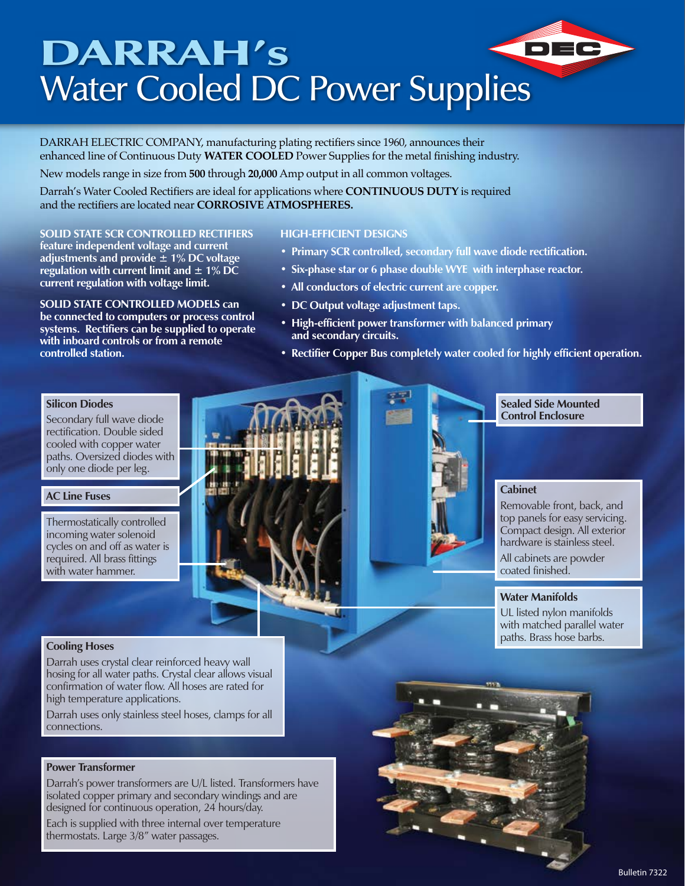# DARRAH's DEC Water Cooled DC Power Supplies

DARRAH ELECTRIC COMPANY, manufacturing plating rectifiers since 1960, announces their enhanced line of Continuous Duty **WATER COOLED** Power Supplies for the metal finishing industry.

New models range in size from **500** through **20,000** Amp output in all common voltages.

Darrah's Water Cooled Rectifiers are ideal for applications where **CONTINUOUS DUTY** is required and the rectifiers are located near **CORROSIVE ATMOSPHERES.**

#### **SOLID STATE SCR CONTROLLED RECTIFIERS**

**feature independent voltage and current adjustments and provide ± 1% DC voltage regulation with current limit and ± 1% DC current regulation with voltage limit.**

**SOLID STATE CONTROLLED MODELS can be connected to computers or process control systems. Rectifiers can be supplied to operate with inboard controls or from a remote controlled station.**

#### **HIGH-EFFICIENT DESIGNS**

- **• Primary SCR controlled, secondary full wave diode rectification.**
- **• Six-phase star or 6 phase double WYE with interphase reactor.**
- **• All conductors of electric current are copper.**
- **• DC Output voltage adjustment taps.**
- **• High-efficient power transformer with balanced primary and secondary circuits.**
- **• Rectifier Copper Bus completely water cooled for highly efficient operation.**

#### **Silicon Diodes**

Secondary full wave diode rectification. Double sided cooled with copper water paths. Oversized diodes with only one diode per leg.

#### **AC Line Fuses**

Thermostatically controlled incoming water solenoid cycles on and off as water is required. All brass fittings with water hammer.



**Sealed Side Mounted Control Enclosure**

### **Cabinet**

Removable front, back, and top panels for easy servicing. Compact design. All exterior hardware is stainless steel.

All cabinets are powder coated finished.

#### **Water Manifolds**

UL listed nylon manifolds with matched parallel water paths. Brass hose barbs.

#### **Cooling Hoses**

Darrah uses crystal clear reinforced heavy wall hosing for all water paths. Crystal clear allows visual confirmation of water flow. All hoses are rated for high temperature applications.

Darrah uses only stainless steel hoses, clamps for all connections.

#### **Power Transformer**

Darrah's power transformers are U/L listed. Transformers have isolated copper primary and secondary windings and are designed for continuous operation, 24 hours/day.

Each is supplied with three internal over temperature thermostats. Large 3/8" water passages.